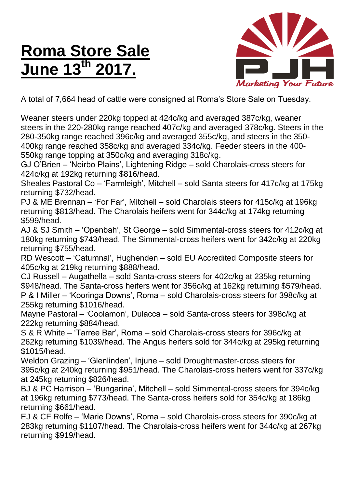## **Roma Store Sale June 13 th 2017.**



A total of 7,664 head of cattle were consigned at Roma's Store Sale on Tuesday.

Weaner steers under 220kg topped at 424c/kg and averaged 387c/kg, weaner steers in the 220-280kg range reached 407c/kg and averaged 378c/kg. Steers in the 280-350kg range reached 396c/kg and averaged 355c/kg, and steers in the 350- 400kg range reached 358c/kg and averaged 334c/kg. Feeder steers in the 400- 550kg range topping at 350c/kg and averaging 318c/kg.

GJ O'Brien – 'Neirbo Plains', Lightening Ridge – sold Charolais-cross steers for 424c/kg at 192kg returning \$816/head.

Sheales Pastoral Co – 'Farmleigh', Mitchell – sold Santa steers for 417c/kg at 175kg returning \$732/head.

PJ & ME Brennan – 'For Far', Mitchell – sold Charolais steers for 415c/kg at 196kg returning \$813/head. The Charolais heifers went for 344c/kg at 174kg returning \$599/head.

AJ & SJ Smith – 'Openbah', St George – sold Simmental-cross steers for 412c/kg at 180kg returning \$743/head. The Simmental-cross heifers went for 342c/kg at 220kg returning \$755/head.

RD Wescott – 'Catumnal', Hughenden – sold EU Accredited Composite steers for 405c/kg at 219kg returning \$888/head.

CJ Russell – Augathella – sold Santa-cross steers for 402c/kg at 235kg returning \$948/head. The Santa-cross heifers went for 356c/kg at 162kg returning \$579/head. P & I Miller – 'Kooringa Downs', Roma – sold Charolais-cross steers for 398c/kg at 255kg returning \$1016/head.

Mayne Pastoral – 'Coolamon', Dulacca – sold Santa-cross steers for 398c/kg at 222kg returning \$884/head.

S & R White – 'Tarree Bar', Roma – sold Charolais-cross steers for 396c/kg at 262kg returning \$1039/head. The Angus heifers sold for 344c/kg at 295kg returning \$1015/head.

Weldon Grazing – 'Glenlinden', Injune – sold Droughtmaster-cross steers for 395c/kg at 240kg returning \$951/head. The Charolais-cross heifers went for 337c/kg at 245kg returning \$826/head.

BJ & PC Harrison – 'Bungarina', Mitchell – sold Simmental-cross steers for 394c/kg at 196kg returning \$773/head. The Santa-cross heifers sold for 354c/kg at 186kg returning \$661/head.

EJ & CF Rolfe – 'Marie Downs', Roma – sold Charolais-cross steers for 390c/kg at 283kg returning \$1107/head. The Charolais-cross heifers went for 344c/kg at 267kg returning \$919/head.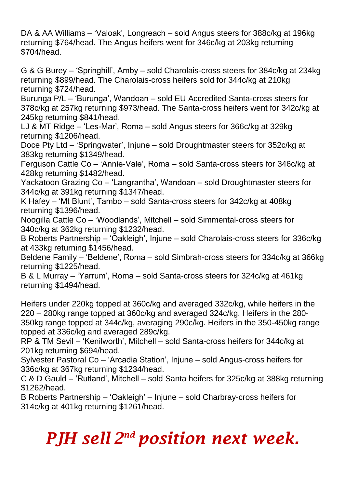DA & AA Williams – 'Valoak', Longreach – sold Angus steers for 388c/kg at 196kg returning \$764/head. The Angus heifers went for 346c/kg at 203kg returning \$704/head.

G & G Burey – 'Springhill', Amby – sold Charolais-cross steers for 384c/kg at 234kg returning \$899/head. The Charolais-cross heifers sold for 344c/kg at 210kg returning \$724/head.

Burunga P/L – 'Burunga', Wandoan – sold EU Accredited Santa-cross steers for 378c/kg at 257kg returning \$973/head. The Santa-cross heifers went for 342c/kg at 245kg returning \$841/head.

LJ & MT Ridge – 'Les-Mar', Roma – sold Angus steers for 366c/kg at 329kg returning \$1206/head.

Doce Pty Ltd – 'Springwater', Injune – sold Droughtmaster steers for 352c/kg at 383kg returning \$1349/head.

Ferguson Cattle Co – 'Annie-Vale', Roma – sold Santa-cross steers for 346c/kg at 428kg returning \$1482/head.

Yackatoon Grazing Co – 'Langrantha', Wandoan – sold Droughtmaster steers for 344c/kg at 391kg returning \$1347/head.

K Hafey – 'Mt Blunt', Tambo – sold Santa-cross steers for 342c/kg at 408kg returning \$1396/head.

Noogilla Cattle Co – 'Woodlands', Mitchell – sold Simmental-cross steers for 340c/kg at 362kg returning \$1232/head.

B Roberts Partnership – 'Oakleigh', Injune – sold Charolais-cross steers for 336c/kg at 433kg returning \$1456/head.

Beldene Family – 'Beldene', Roma – sold Simbrah-cross steers for 334c/kg at 366kg returning \$1225/head.

B & L Murray – 'Yarrum', Roma – sold Santa-cross steers for 324c/kg at 461kg returning \$1494/head.

Heifers under 220kg topped at 360c/kg and averaged 332c/kg, while heifers in the 220 – 280kg range topped at 360c/kg and averaged 324c/kg. Heifers in the 280- 350kg range topped at 344c/kg, averaging 290c/kg. Heifers in the 350-450kg range topped at 336c/kg and averaged 289c/kg.

RP & TM Sevil – 'Kenilworth', Mitchell – sold Santa-cross heifers for 344c/kg at 201kg returning \$694/head.

Sylvester Pastoral Co – 'Arcadia Station', Injune – sold Angus-cross heifers for 336c/kg at 367kg returning \$1234/head.

C & D Gauld – 'Rutland', Mitchell – sold Santa heifers for 325c/kg at 388kg returning \$1262/head.

B Roberts Partnership – 'Oakleigh' – Injune – sold Charbray-cross heifers for 314c/kg at 401kg returning \$1261/head.

## *PJH sell 2 nd position next week.*